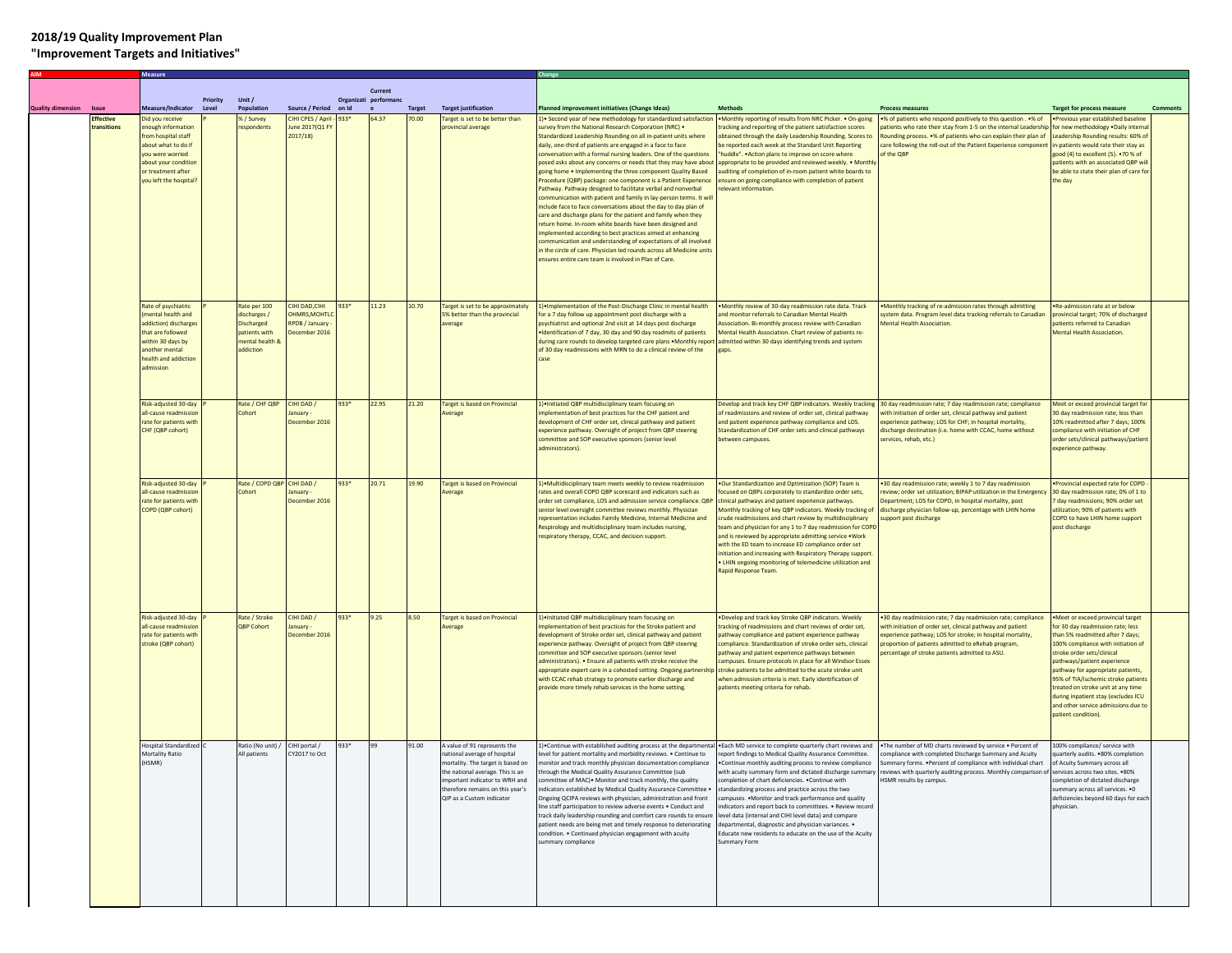## **2018/19 Quality Improvement Plan**

## **"Improvement Targets and Initiatives"**

|                          |                         |                                                                                                                                                                              |          |                                                                                             |                                                                       |       | Current               |               |                                                                                                                                                                                                                                        |                                                                                                                                                                                                                                                                                                                                                                                                                                                                                                                                                                                                                                                                                                                                                                                                                                                                                                                                                                                                                                                                                                                                     |                                                                                                                                                                                                                                                                                                                                                                                                                                                                                                                                                                                                                                                                         |                                                                                                                                                                                                                                                                                                  |                                                                                                                                                                                                                                                                                                                                                                                                                                 |  |
|--------------------------|-------------------------|------------------------------------------------------------------------------------------------------------------------------------------------------------------------------|----------|---------------------------------------------------------------------------------------------|-----------------------------------------------------------------------|-------|-----------------------|---------------|----------------------------------------------------------------------------------------------------------------------------------------------------------------------------------------------------------------------------------------|-------------------------------------------------------------------------------------------------------------------------------------------------------------------------------------------------------------------------------------------------------------------------------------------------------------------------------------------------------------------------------------------------------------------------------------------------------------------------------------------------------------------------------------------------------------------------------------------------------------------------------------------------------------------------------------------------------------------------------------------------------------------------------------------------------------------------------------------------------------------------------------------------------------------------------------------------------------------------------------------------------------------------------------------------------------------------------------------------------------------------------------|-------------------------------------------------------------------------------------------------------------------------------------------------------------------------------------------------------------------------------------------------------------------------------------------------------------------------------------------------------------------------------------------------------------------------------------------------------------------------------------------------------------------------------------------------------------------------------------------------------------------------------------------------------------------------|--------------------------------------------------------------------------------------------------------------------------------------------------------------------------------------------------------------------------------------------------------------------------------------------------|---------------------------------------------------------------------------------------------------------------------------------------------------------------------------------------------------------------------------------------------------------------------------------------------------------------------------------------------------------------------------------------------------------------------------------|--|
|                          |                         |                                                                                                                                                                              | Priority | Unit /                                                                                      |                                                                       |       | Organizati performanc |               |                                                                                                                                                                                                                                        |                                                                                                                                                                                                                                                                                                                                                                                                                                                                                                                                                                                                                                                                                                                                                                                                                                                                                                                                                                                                                                                                                                                                     |                                                                                                                                                                                                                                                                                                                                                                                                                                                                                                                                                                                                                                                                         |                                                                                                                                                                                                                                                                                                  |                                                                                                                                                                                                                                                                                                                                                                                                                                 |  |
| <b>Quality dimension</b> | <b>Issu</b><br>ffective | Measure/Indicator                                                                                                                                                            | Level    | Population                                                                                  | <b>Source / Period</b>                                                | on Id |                       | <b>Target</b> | <b>Target justification</b>                                                                                                                                                                                                            | lanned improvement initiatives (Change Ideas)                                                                                                                                                                                                                                                                                                                                                                                                                                                                                                                                                                                                                                                                                                                                                                                                                                                                                                                                                                                                                                                                                       | <b>Methods</b><br>Monthly reporting of results from NRC Picker. . On-going                                                                                                                                                                                                                                                                                                                                                                                                                                                                                                                                                                                              | <b>Process measures</b>                                                                                                                                                                                                                                                                          | <b>Target for process measure</b>                                                                                                                                                                                                                                                                                                                                                                                               |  |
|                          | ransitions              | id you receive<br>nough information<br>rom hospital staff<br>about what to do if<br>you were worried<br>about your condition<br>or treatment after<br>you left the hospital? |          | %/Survey<br>espondents                                                                      | <b>IHI CPES / April</b><br>une 2017(Q1<br>2017/18                     | 33*   | 64.37                 | 0.00          | Target is set to be better than<br>provincial average                                                                                                                                                                                  | • Second year of new methodology for standardized satisfactio<br>urvey from the National Research Corporation (NRC) .<br>Standardized Leadership Rounding on all in-patient units where<br>daily, one-third of patients are engaged in a face to face<br>proversation with a formal nursing leaders. One of the questions<br>posed asks about any concerns or needs that they may have about<br>going home . Implementing the three component Quality Based<br>Procedure (QBP) package: one component is a Patient Experience<br>Pathway. Pathway designed to facilitate verbal and nonverbal<br>ommunication with patient and family in lay-person terms. It wil<br>nclude face to face conversations about the day to day plan of<br>care and discharge plans for the patient and family when they<br>return home. In-room white boards have been designed and<br>implemented according to best practices aimed at enhancing<br>communication and understanding of expectations of all involved<br>in the circle of care. Physician led rounds across all Medicine units<br>insures entire care team is involved in Plan of Care. | racking and reporting of the patient satisfaction scores<br>obtained through the daily Leadership Rounding. Scores to<br>be reported each week at the Standard Unit Reporting<br>huddle". . Action plans to improve on score where<br>appropriate to be provided and reviewed weekly. . Monthl<br>uditing of completion of in-room patient white boards to<br>ensure on going compliance with completion of patient<br>relevant information.                                                                                                                                                                                                                            | •% of patients who respond positively to this question . •% of<br>tients who rate their stay from 1-5 on the internal Leadersh<br>Rounding process. .% of patients who can explain their plan of<br>care following the roll-out of the Patient Experience componer<br>of the OBP                 | Previous year established baseline<br>or new methodology . Daily interna<br>eadership Rounding results: 60% of<br>e-patients would rate their stay as<br>good (4) to excellent (5). . 70 % of<br>patients with an associated QBP wil<br>be able to state their plan of care for<br>the day                                                                                                                                      |  |
|                          |                         | Rate of psychiatric<br>mental health and<br>ddiction) discharge<br>hat are followed<br>within 30 days by<br>another mental<br>health and addiction<br>admission              |          | Rate per 100<br>discharges /<br>Discharged<br>patients with<br>mental health &<br>addiction | <b>IHI DAD, CIHI</b><br>HMRS.MOHTL<br>RPDB / January<br>December 2016 | 33*   | 11.23                 | 10.70         | Target is set to be approximately<br>5% better than the provincial<br>average                                                                                                                                                          | I .] Implementation of the Post-Discharge Clinic in mental health<br>or a 7 day follow up appointment post discharge with a<br>osychiatrist and optional 2nd visit at 14 days post discharge<br>Identification of 7 day, 30 day and 90 day readmits of patients<br>luring care rounds to develop targeted care plans .Monthly repor<br>of 30 day readmissions with MRN to do a clinical review of the                                                                                                                                                                                                                                                                                                                                                                                                                                                                                                                                                                                                                                                                                                                               | . Monthly review of 30-day readmission rate data. Track<br>and monitor referrals to Canadian Mental Health<br>Association. Bi-monthly process review with Canadian<br>Mental Health Association. Chart review of patients re-<br>admitted within 30 days identifying trends and system<br>aps.                                                                                                                                                                                                                                                                                                                                                                          | Monthly tracking of re-admission rates through admitting<br>ystem data. Program level data tracking referrals to Canadian<br><b>Mental Health Association.</b>                                                                                                                                   | Re-admission rate at or below<br>rovincial target; 70% of discharged<br>atients referred to Canadian<br><b>Mental Health Association.</b>                                                                                                                                                                                                                                                                                       |  |
|                          |                         | Risk-adjusted 30-day<br>all-cause readmissio<br>rate for patients with<br>CHF (QBP cohort)                                                                                   |          | Rate / CHF QBP<br>Cohort                                                                    | CIHI DAD /<br>January<br>December 2016                                | 933*  | 22.95                 | 21.20         | Target is based on Provincial<br><b>Werage</b>                                                                                                                                                                                         | I) . Initiated QBP multidisciplinary team focusing on<br>mplementation of best practices for the CHF patient and<br>levelopment of CHF order set, clinical pathway and patient<br>experience pathway. Oversight of project from QBP steering<br>committee and SOP executive sponsors (senior level<br>administrators).                                                                                                                                                                                                                                                                                                                                                                                                                                                                                                                                                                                                                                                                                                                                                                                                              | Develop and track key CHF QBP indicators. Weekly tracking<br>of readmissions and review of order set, clinical pathway<br>and patient experience pathway compliance and LOS.<br>Standardization of CHF order sets and clinical pathways<br>etween campuses.                                                                                                                                                                                                                                                                                                                                                                                                             | 30 day readmission rate; 7 day readmission rate; compliance<br>with initiation of order set, clinical pathway and patient<br>experience pathway; LOS for CHF; in hospital mortality,<br>discharge destination (i.e. home with CCAC, home without<br>ervices, rehab, etc.)                        | Neet or exceed provincial target for<br>30 day readmission rate: less than<br>10% readmitted after 7 days; 100%<br>compliance with initiation of CHF<br>order sets/clinical pathways/patient<br>experience pathway.                                                                                                                                                                                                             |  |
|                          |                         | Risk-adiusted 30-day<br>Ill-cause readmissic<br>ate for patients with<br>COPD (QBP cohort)                                                                                   |          | Rate / COPD OBP<br>Cohort                                                                   | CIHI DAD /<br>anuary<br>December 2016                                 | 933*  | 20.71                 | 19.90         | <b>Target is hased on Provincial</b><br><b><i><u>verage</u></i></b>                                                                                                                                                                    | (1.4) Multidisciplinary team meets weekly to review readmission<br>ates and overall COPD QBP scorecard and indicators such as<br>order set compliance, LOS and admission service compliance. QBP<br>enior level oversight committee reviews monthly. Physician<br>epresentation includes Family Medicine, Internal Medicine and<br>Respirology and multidisciplinary team includes nursing,<br>espiratory therapy, CCAC, and decision support.                                                                                                                                                                                                                                                                                                                                                                                                                                                                                                                                                                                                                                                                                      | . Our Standardization and Optimization (SOP) Team is<br>ocused on QBPs corporately to standardize order sets,<br>linical pathways and patient experience pathways.<br>lonthly tracking of key QBP indicators. Weekly tracking of<br>crude readmissions and chart review by multidisciplinary<br>team and physician for any 1 to 7 day readmission for COPE<br>and is reviewed by appropriate admitting service . Work<br>with the ED team to increase ED compliance order set<br>initiation and increasing with Respiratory Therapy support.<br>LHIN ongoing monitoring of telemedicine utilization and<br>Rapid Response Team.                                         | .30 day readmission rate: weekly 1 to 7 day readmission<br>eview; order set utilization; BIPAP utilization in the Emergen<br>epartment; LOS for COPD, in hospital mortality, post<br>discharge physician follow-up, percentage with LHIN home<br>upport post discharge                           | Provincial expected rate for COPD<br>30 day readmission rate; 0% of 1 to<br>day readmissions; 90% order set<br>utilization: 90% of patients with<br>COPD to have LHIN home support<br>post discharge                                                                                                                                                                                                                            |  |
|                          |                         | Risk-adjusted 30-day<br>all-cause readmissio<br>rate for patients with<br>stroke (QBP cohort)                                                                                |          | Rate / Stroke<br><b>OBP Cohort</b>                                                          | CIHI DAD /<br>nuary<br>December 2016                                  | 933*  | 9.25                  | 8.50          | <b>Target is based on Provincial</b><br>verage                                                                                                                                                                                         | 1) Initiated QBP multidisciplinary team focusing on<br>mplementation of best practices for the Stroke patient and<br>development of Stroke order set, clinical pathway and patient<br>experience pathway. Oversight of project from QBP steering<br>committee and SOP executive sponsors (senior level<br>dministrators). • Ensure all patients with stroke receive the<br>appropriate expert care in a cohosted setting. Ongoing partnership<br>with CCAC rehab strategy to promote earlier discharge and<br>provide more timely rehab services in the home setting.                                                                                                                                                                                                                                                                                                                                                                                                                                                                                                                                                               | Develop and track key Stroke QBP indicators. Weekly<br>racking of readmissions and chart reviews of order set,<br>pathway compliance and patient experience pathway<br>compliance. Standardization of stroke order sets, clinical<br>pathway and patient experience pathways between<br>campuses. Ensure protocols in place for all Windsor Essex<br>stroke patients to be admitted to the acute stroke unit<br>when admission criteria is met. Early identification of<br>patients meeting criteria for rehab.                                                                                                                                                         | .30 day readmission rate; 7 day readmission rate; compliance<br>with initiation of order set, clinical pathway and patient<br>experience pathway; LOS for stroke; in hospital mortality,<br>proportion of patients admitted to eRehab program,<br>percentage of stroke patients admitted to ASU. | ·Meet or exceed provincial target<br>or 30 day readmission rate; less<br>than 5% readmitted after 7 days;<br>100% compliance with initiation of<br>stroke order sets/clinical<br>pathways/patient experience<br>pathway for appropriate patients,<br>35% of TIA/ischemic stroke patients<br>reated on stroke unit at any time<br>during inpatient stay (excludes ICU<br>and other service admissions due t<br>atient condition) |  |
|                          |                         | <b>Hospital Standardized</b><br>Mortality Ratio<br>HSMR)                                                                                                                     |          | Ratio (No unit) /<br>All patients                                                           | CIHI portal /<br>CY2017 to Oct                                        | 33*   | 99                    | 1.00          | A value of 91 represents the<br>national average of hospital<br>mortality. The target is based on<br>e national average. This is an<br>mportant indicator to WRH and<br>therefore remains on this year's<br>OIP as a Custom indicator. | .) Continue with established auditing process at the departmental<br>level for patient mortality and morbidity reviews. . Continue to<br>nonitor and track monthly physician documentation compliance<br>irough the Medical Quality Assurance Committee (sub<br>ommittee of MAC). Monitor and track monthly, the quality<br>indicators established by Medical Quality Assurance Committee .<br>Ongoing QCIPA reviews with physician, administration and front<br>line staff participation to review adverse events . Conduct and<br>track daily leadership rounding and comfort care rounds to ensure<br>patient needs are being met and timely response to deteriorating<br>condition. . Continued physician engagement with acuity<br>ummary compliance                                                                                                                                                                                                                                                                                                                                                                           | . Each MD service to complete quarterly chart reviews and<br>report findings to Medical Quality Assurance Committee.<br>. Continue monthly auditing process to review compliance<br>rith acuity summary form and dictated discharge summar<br>completion of chart deficiencies. . Continue with<br>standardizing process and practice across the two<br>campuses. . Monitor and track performance and quality<br>indicators and report back to committees. . Review record<br>level data (internal and CIHI level data) and compare<br>departmental, diagnostic and physician variances. .<br>Educate new residents to educate on the use of the Acuity<br>summary Form | . The number of MD charts reviewed by service . Percent of<br>compliance with completed Discharge Summary and Acuity<br>Summary forms. . Percent of compliance with individual chart<br>eviews with quarterly auditing process. Monthly comparison of<br>HSMR results by campus.                 | .00% compliance/ service with<br>uarterly audits. .80% completion<br>f Acuity Summary across all<br>ervices across two sites. ●80%<br>completion of dictated discharge<br>ummary across all services. .0<br>deficiencies beyond 60 days for each<br>physician.                                                                                                                                                                  |  |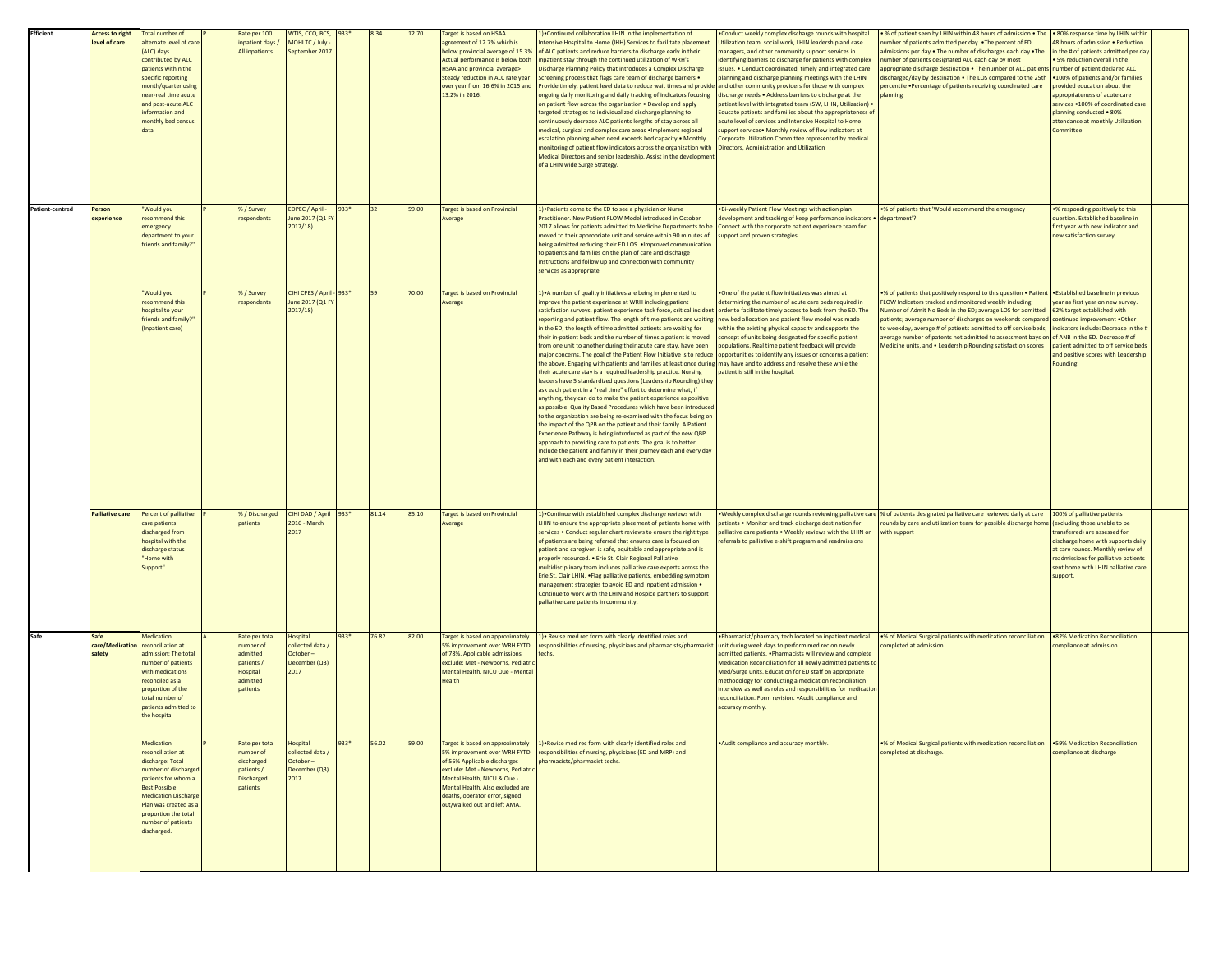| Efficient       | <b>Access to right</b><br>level of care       | <b>Total number of</b><br>alternate level of care<br>(ALC) days<br>contributed by ALC<br>patients within the<br>specific reporting<br>month/quarter using<br>near-real time acute<br>and post-acute ALC<br>information and<br>monthly bed census<br>data | tate per 100<br>patient days /<br>All inpatients                                       | WTIS, CCO, BCS, 933*<br>MOHLTC / July<br>September 2017                  |         | 8.34  | 12.70 | Target is based on HSAA<br>agreement of 12.7% which is<br>below provincial average of 15.3%.<br>Actual performance is below both<br>HSAA and provincial average><br>Steady reduction in ALC rate year<br>over year from 16.6% in 2015 and<br>13.2% in 2016.                | () Continued collaboration LHIN in the implementation of<br>ntensive Hospital to Home (IHH) Services to facilitate placement<br>of ALC patients and reduce barriers to discharge early in their<br>inpatient stay through the continued utilization of WRH's<br>Discharge Planning Policy that introduces a Complex Discharge<br>Screening process that flags care team of discharge barriers .<br>Provide timely, patient level data to reduce wait times and provide<br>ongoing daily monitoring and daily tracking of indicators focusing<br>on patient flow across the organization . Develop and apply<br>targeted strategies to individualized discharge planning to<br>continuously decrease ALC patients lengths of stay across all<br>nedical, surgical and complex care areas .Implement regional<br>escalation planning when need exceeds bed capacity . Monthly<br>monitoring of patient flow indicators across the organization with<br>Medical Directors and senior leadership. Assist in the developmen<br>of a LHIN wide Surge Strategy.                                                                                                                                                                                                                                                                                                                          | Conduct weekly complex discharge rounds with hospital<br>Itilization team, social work, LHIN leadership and case<br>nanagers, and other community support services in<br>dentifying barriers to discharge for patients with complex<br>ssues. . Conduct coordinated, timely and integrated care<br>planning and discharge planning meetings with the LHIN<br>and other community providers for those with complex<br>discharge needs . Address barriers to discharge at the<br>atient level with integrated team (SW, LHIN, Utilization) .<br>ducate patients and families about the appropriateness of<br>cute level of services and Intensive Hospital to Home<br>upport services . Monthly review of flow indicators at<br>Corporate Utilization Committee represented by medical<br>Directors, Administration and Utilization | % of patient seen by LHIN within 48 hours of admission . The<br>umber of patients admitted per day. . The percent of ED<br>dmissions per day . The number of discharges each day . The<br>number of patients designated ALC each day by most<br>appropriate discharge destination . The number of ALC patients<br>discharged/day by destination . The LOS compared to the 25th<br>percentile .Percentage of patients receiving coordinated care<br>planning                                   | . 80% response time by LHIN within<br>48 hours of admission . Reduction<br>in the # of patients admitted per da<br>. 5% reduction overall in the<br>number of patient declared ALC<br>.100% of patients and/or families<br>provided education about the<br>appropriateness of acute care<br>services .100% of coordinated care<br>blanning conducted . 80%<br>attendance at monthly Utilization<br>mmittee |  |
|-----------------|-----------------------------------------------|----------------------------------------------------------------------------------------------------------------------------------------------------------------------------------------------------------------------------------------------------------|----------------------------------------------------------------------------------------|--------------------------------------------------------------------------|---------|-------|-------|----------------------------------------------------------------------------------------------------------------------------------------------------------------------------------------------------------------------------------------------------------------------------|-----------------------------------------------------------------------------------------------------------------------------------------------------------------------------------------------------------------------------------------------------------------------------------------------------------------------------------------------------------------------------------------------------------------------------------------------------------------------------------------------------------------------------------------------------------------------------------------------------------------------------------------------------------------------------------------------------------------------------------------------------------------------------------------------------------------------------------------------------------------------------------------------------------------------------------------------------------------------------------------------------------------------------------------------------------------------------------------------------------------------------------------------------------------------------------------------------------------------------------------------------------------------------------------------------------------------------------------------------------------------------------|-----------------------------------------------------------------------------------------------------------------------------------------------------------------------------------------------------------------------------------------------------------------------------------------------------------------------------------------------------------------------------------------------------------------------------------------------------------------------------------------------------------------------------------------------------------------------------------------------------------------------------------------------------------------------------------------------------------------------------------------------------------------------------------------------------------------------------------|-----------------------------------------------------------------------------------------------------------------------------------------------------------------------------------------------------------------------------------------------------------------------------------------------------------------------------------------------------------------------------------------------------------------------------------------------------------------------------------------------|------------------------------------------------------------------------------------------------------------------------------------------------------------------------------------------------------------------------------------------------------------------------------------------------------------------------------------------------------------------------------------------------------------|--|
| Patient-centred | Person<br><b>perience</b>                     | Would you<br>recommend this<br>emergency<br>department to your<br>friends and family?                                                                                                                                                                    | % / Survey<br>espondents                                                               | EDPEC / April -<br>June 2017 (Q1 F)<br>2017/18                           | 933*    | 32    | 59.00 | Target is based on Provincial<br>Average                                                                                                                                                                                                                                   | 1) Patients come to the ED to see a physician or Nurse<br>Practitioner, New Patient ELOW Model introduced in October<br>2017 allows for patients admitted to Medicine Departments to be<br>moved to their appropriate unit and service within 90 minutes of<br>being admitted reducing their ED LOS. . Improved communication<br>o patients and families on the plan of care and discharge<br>instructions and follow up and connection with community<br>ervices as appropriate                                                                                                                                                                                                                                                                                                                                                                                                                                                                                                                                                                                                                                                                                                                                                                                                                                                                                                  | . Bi-weekly Patient Flow Meetings with action plan<br>levelopment and tracking of keep performance indicators .<br>Connect with the corporate patient experience team for<br>support and proven strategies.                                                                                                                                                                                                                                                                                                                                                                                                                                                                                                                                                                                                                       | % of patients that 'Would recommend the emergency<br>department'?                                                                                                                                                                                                                                                                                                                                                                                                                             | .% responding positively to this<br>question. Established baseline in<br>first year with new indicator and<br>new satisfaction survey.                                                                                                                                                                                                                                                                     |  |
|                 |                                               | "Would you<br>recommend this<br>hospital to your<br>friends and family?<br>(Inpatient care)                                                                                                                                                              | %/Survey<br>respondents                                                                | CIHI CPES / April<br>June 2017 (Q1 FY<br>2017/18                         | $-933*$ |       | 70.00 | <b>Target is based on Provincial</b><br>Average                                                                                                                                                                                                                            | 1) A number of quality initiatives are being implemented to<br>improve the patient experience at WRH including patient<br>satisfaction surveys, patient experience task force, critical incident<br>reporting and patient flow. The length of time patients are waiting<br>in the ED, the length of time admitted patients are waiting for<br>their in-patient beds and the number of times a patient is moved<br>from one unit to another during their acute care stay, have been<br>major concerns. The goal of the Patient Flow Initiative is to reduce<br>he above. Engaging with patients and families at least once during<br>their acute care stay is a required leadership practice. Nursing<br>leaders have 5 standardized questions (Leadership Rounding) they<br>ask each patient in a "real time" effort to determine what, if<br>anything, they can do to make the patient experience as positive<br>as possible. Quality Based Procedures which have been introduce<br>to the organization are being re-examined with the focus being on<br>he impact of the QPB on the patient and their family. A Patient<br>Experience Pathway is being introduced as part of the new QBP<br>approach to providing care to patients. The goal is to better<br>include the patient and family in their journey each and every day<br>and with each and every patient interaction. | . One of the patient flow initiatives was aimed at<br>letermining the number of acute care beds required in<br>order to facilitate timely access to beds from the ED. The<br>new bed allocation and patient flow model was made<br>within the existing physical capacity and supports the<br>concept of units being designated for specific patient<br>populations. Real time patient feedback will provide<br>opportunities to identify any issues or concerns a patient<br>may have and to address and resolve these while the<br>patient is still in the hospital.                                                                                                                                                                                                                                                             | % of patients that positively respond to this question . Patient<br>FLOW Indicators tracked and monitored weekly including:<br>Number of Admit No Beds in the ED; average LOS for admitted<br>patients; average number of discharges on weekends compared<br>to weekday, average # of patients admitted to off service beds,<br>average number of patents not admitted to assessment bays on of ANB in the ED. Decrease # of<br>Medicine units, and . Leadership Rounding satisfaction scores | .Established baseline in previous<br>year as first year on new survey.<br>62% target established with<br>continued improvement .Other<br>indicators include: Decrease in the<br>patient admitted to off service beds<br>and positive scores with Leadership<br>ounding.                                                                                                                                    |  |
|                 | alliative care                                | Percent of palliative<br>care patients<br>discharged from<br>hospital with the<br>discharge status<br>"Home with<br>Support".                                                                                                                            | % / Discharged<br>atients                                                              | CIHI DAD / April<br>2016 - March<br>2017                                 | 933*    | 81.14 | 85.10 | Target is based on Provincial<br>werage                                                                                                                                                                                                                                    | 1) Continue with established complex discharge reviews with<br>HIN to ensure the appropriate placement of patients home with<br>ervices . Conduct regular chart reviews to ensure the right type<br>of patients are being referred that ensures care is focused on<br>patient and caregiver, is safe, equitable and appropriate and is<br>properly resourced. . Erie St. Clair Regional Palliative<br>nultidisciplinary team includes palliative care experts across the<br>Erie St. Clair LHIN. . Flag palliative patients, embedding symptom<br>management strategies to avoid ED and inpatient admission .<br>Continue to work with the LHIN and Hospice partners to support<br>palliative care patients in community.                                                                                                                                                                                                                                                                                                                                                                                                                                                                                                                                                                                                                                                         | Weekly complex discharge rounds reviewing palliative care<br>patients . Monitor and track discharge destination for<br>alliative care patients . Weekly reviews with the LHIN on<br>eferrals to palliative e-shift program and readmissions                                                                                                                                                                                                                                                                                                                                                                                                                                                                                                                                                                                       | % of patients designated palliative care reviewed daily at care<br>ounds by care and utilization team for possible discharge hom-<br>with support                                                                                                                                                                                                                                                                                                                                             | 100% of palliative patients<br>excluding those unable to be<br>ansferred) are assessed for<br>discharge home with supports daily<br>at care rounds. Monthly review of<br>readmissions for palliative patients<br>sent home with LHIN palliative care<br>support.                                                                                                                                           |  |
| Safe            | <b>Safe</b><br>are/Medication<br><b>afety</b> | <b>Aedication</b><br>reconciliation at<br>admission: The total<br>number of patients<br>with medications<br>reconciled as a<br>proportion of the<br>total number of<br>patients admitted to<br>the hospital                                              | Rate per total<br>umber of<br>dmitted<br>atients /<br>lospital<br>admitted<br>patients | lospital<br>collected data<br>October-<br>December (Q3)<br>2017          | 933*    | 76.82 | 82.00 | Target is based on approximately<br>5% improvement over WRH FYTD<br>of 78%. Applicable admissions<br>exclude: Met - Newborns, Pediatri<br>Mental Health, NICU Oue - Mental<br>Health                                                                                       | 1) • Revise med rec form with clearly identified roles and<br>responsibilities of nursing, physicians and pharmacists/pharmacist<br>techs.                                                                                                                                                                                                                                                                                                                                                                                                                                                                                                                                                                                                                                                                                                                                                                                                                                                                                                                                                                                                                                                                                                                                                                                                                                        | Pharmacist/pharmacy tech located on inpatient medical<br>init during week days to perform med rec on newly<br>dmitted patients. . Pharmacists will review and complete<br>ledication Reconciliation for all newly admitted patients to<br>Aed/Surge units. Education for ED staff on appropriate<br>nethodology for conducting a medication reconciliation<br>interview as well as roles and responsibilities for medication<br>reconciliation. Form revision. . Audit compliance and<br>accuracy monthly.                                                                                                                                                                                                                                                                                                                        | .% of Medical Surgical patients with medication reconciliation<br>completed at admission                                                                                                                                                                                                                                                                                                                                                                                                      | .82% Medication Reconciliation<br>compliance at admission                                                                                                                                                                                                                                                                                                                                                  |  |
|                 |                                               | Medication<br>reconciliation at<br>discharge: Total<br>number of discharge<br>natients for whom a<br><b>Best Possible</b><br><b>Medication Discharge</b><br>Plan was created as<br>proportion the total<br>number of patients<br>discharged.             | Rate per total<br>umber of<br>lischarged<br>patients /<br>Discharged<br>patients       | <b>lospital</b><br>collected data /<br>October-<br>December (Q3)<br>2017 | 933*    | 56.02 | 59.00 | Target is based on approximately<br>5% improvement over WRH FYTD<br>of 56% Applicable discharges<br>exclude: Met - Newborns, Pediatri<br>Mental Health, NICU & Oue -<br>Mental Health. Also excluded are<br>deaths, operator error, signed<br>out/walked out and left AMA. | 1) Revise med rec form with clearly identified roles and<br>responsibilities of nursing, physicians (ED and MRP) and<br>harmacists/pharmacist techs.                                                                                                                                                                                                                                                                                                                                                                                                                                                                                                                                                                                                                                                                                                                                                                                                                                                                                                                                                                                                                                                                                                                                                                                                                              | . Audit compliance and accuracy monthly                                                                                                                                                                                                                                                                                                                                                                                                                                                                                                                                                                                                                                                                                                                                                                                           | % of Medical Surgical patients with medication reconciliation<br>ompleted at discharge.                                                                                                                                                                                                                                                                                                                                                                                                       | .59% Medication Reconciliation<br>compliance at discharge                                                                                                                                                                                                                                                                                                                                                  |  |